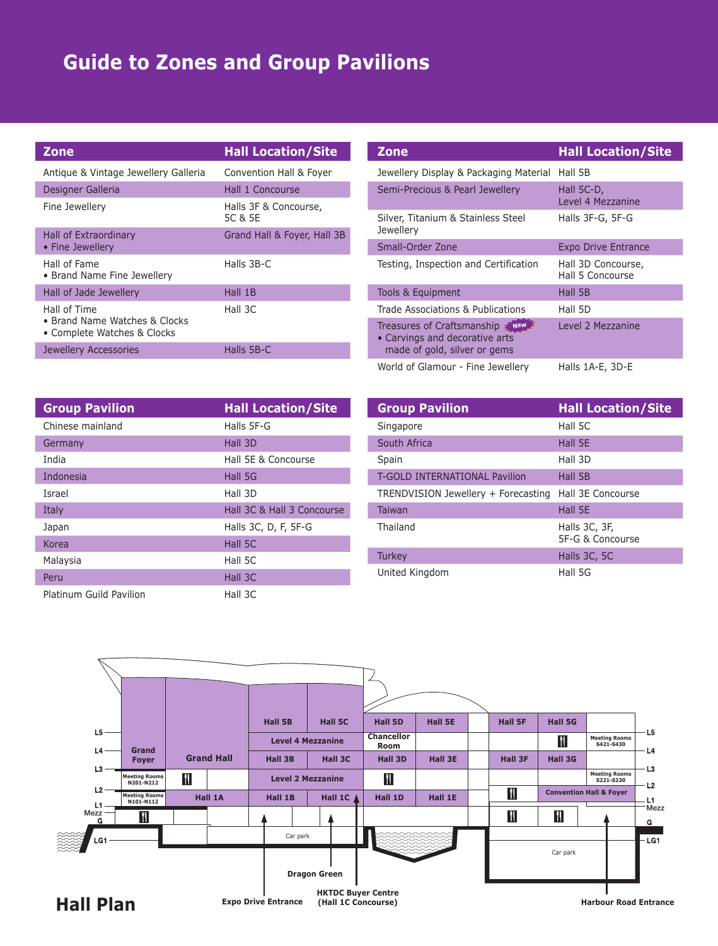## **Guide to Zones and Group Pavilions**

| <b>Zone</b>                                                  | <b>Hall Location/Site</b>        | <b>Hall Location/Site</b><br><b>Zone</b>                                                            |  |
|--------------------------------------------------------------|----------------------------------|-----------------------------------------------------------------------------------------------------|--|
| Antique & Vintage Jewellery Galleria                         | Convention Hall & Foyer          | Jewellery Display & Packaging Material Hall 5B                                                      |  |
| Designer Galleria                                            | Hall 1 Concourse                 | Semi-Precious & Pearl Jewellery<br>Hall 5C-D,                                                       |  |
| Fine Jewellery                                               | Halls 3F & Concourse,<br>5C & 5E | Level 4 Mezzanine<br>Halls 3F-G, 5F-G<br>Silver, Titanium & Stainless Steel                         |  |
| Hall of Extraordinary<br>• Fine Jewellery                    | Grand Hall & Foyer, Hall 3B      | <b>Jewellery</b><br>Small-Order Zone<br><b>Expo Drive Entrance</b>                                  |  |
| Hall of Fame<br>• Brand Name Fine Jewellery                  | Halls 3B-C                       | Testing, Inspection and Certification<br>Hall 3D Concourse,<br>Hall 5 Concourse                     |  |
| Hall of Jade Jewellery                                       | Hall 1B                          | Tools & Equipment<br>Hall 5B                                                                        |  |
| Hall of Time                                                 | Hall 3C                          | Trade Associations & Publications<br>Hall 5D                                                        |  |
| • Brand Name Watches & Clocks<br>• Complete Watches & Clocks |                                  | Treasures of Craftsmanship $\geq$ New $\geq$<br>Level 2 Mezzanine<br>• Carvings and decorative arts |  |
| Jewellery Accessories                                        | Halls 5B-C                       | made of gold, silver or gems                                                                        |  |

| <b>Zone</b>                                                                                             | <b>Hall Location/Site</b>              |  |
|---------------------------------------------------------------------------------------------------------|----------------------------------------|--|
| Jewellery Display & Packaging Material                                                                  | Hall 5B                                |  |
| Semi-Precious & Pearl Jewellery                                                                         | Hall 5C-D,<br>Level 4 Mezzanine        |  |
| Silver, Titanium & Stainless Steel<br>Jewellery                                                         | Halls 3F-G, 5F-G                       |  |
| Small-Order Zone                                                                                        | <b>Expo Drive Entrance</b>             |  |
| Testing, Inspection and Certification                                                                   | Hall 3D Concourse,<br>Hall 5 Concourse |  |
| Tools & Equipment                                                                                       | Hall 5B                                |  |
| Trade Associations & Publications                                                                       | Hall 5D                                |  |
| Treasures of Craftsmanship $\geq$ New<br>• Carvings and decorative arts<br>made of gold, silver or gems | Level 2 Mezzanine                      |  |
| World of Glamour - Fine Jewellery                                                                       | Halls 1A-E, 3D-E                       |  |

| <b>Group Pavilion</b>   | <b>Hall Location/Site</b>  | <b>Group Pavilion</b>                                 | <b>Hall Location/Site</b> |
|-------------------------|----------------------------|-------------------------------------------------------|---------------------------|
| Chinese mainland        | Halls 5F-G                 | Singapore                                             | Hall 5C                   |
| Germany                 | Hall 3D                    | South Africa                                          | Hall 5E                   |
| India                   | Hall 5E & Concourse        | Spain                                                 | Hall 3D                   |
| Indonesia               | Hall 5G                    | T-GOLD INTERNATIONAL Pavilion                         | Hall 5B                   |
| Israel                  | Hall 3D                    | TRENDVISION Jewellery + Forecasting Hall 3E Concourse |                           |
| Italy                   | Hall 3C & Hall 3 Concourse | Taiwan                                                | Hall 5E                   |
| Japan                   | Halls 3C, D, F, 5F-G       | Thailand                                              | Halls 3C, 3F,             |
| Korea                   | Hall 5C                    |                                                       | 5F-G & Concourse          |
| Malaysia                | Hall 5C                    | Turkey                                                | Halls 3C, 5C              |
| Peru                    | Hall 3C                    | United Kingdom                                        | Hall 5G                   |
| Platinum Guild Pavilion | Hall 3C                    |                                                       |                           |

| <b>Group Pavilion</b>                | <b>Hall Location/Site</b>         |
|--------------------------------------|-----------------------------------|
| Singapore                            | Hall 5C                           |
| South Africa                         | Hall 5E                           |
| Spain                                | Hall 3D                           |
| <b>T-GOLD INTERNATIONAL Pavilion</b> | Hall 5B                           |
| TRENDVISION Jewellery + Forecasting  | Hall 3E Concourse                 |
| <b>Taiwan</b>                        | Hall 5E                           |
| Thailand                             | Halls 3C, 3F,<br>5F-G & Concourse |
| Turkey                               | Halls 3C, 5C                      |
| United Kingdom                       | Hall 5G                           |